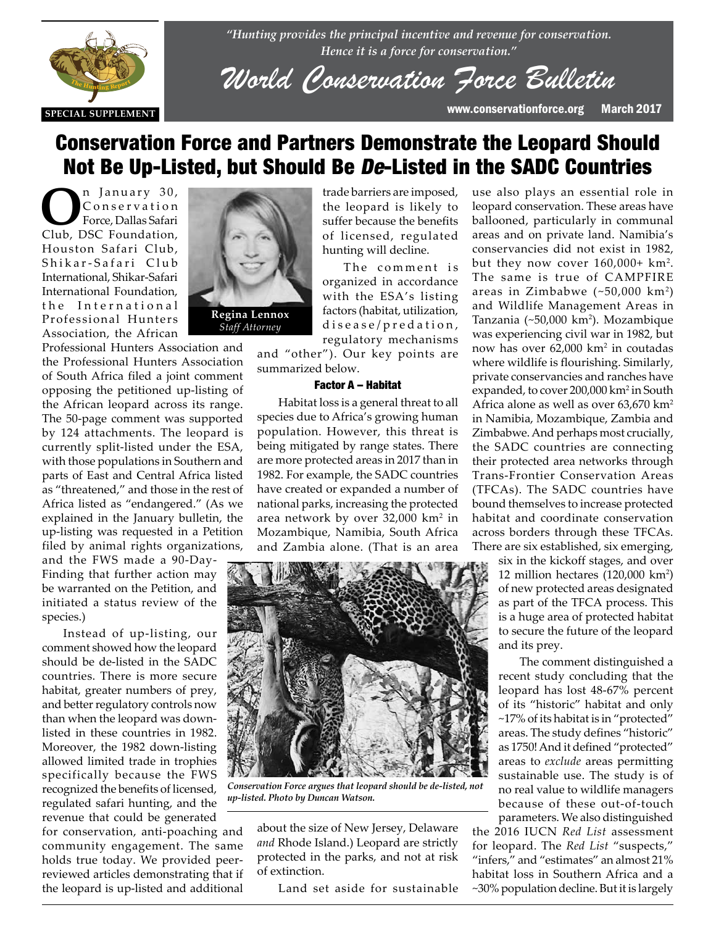

*"Hunting provides the principal incentive and revenue for conservation. Hence it is a force for conservation."*

*World Conservation Force Bulletin*

**SPECIAL SUPPLEMENT** www.conservationforce.org March 2017

# Conservation Force and Partners Demonstrate the Leopard Should Not Be Up-Listed, but Should Be De-Listed in the SADC Countries

n January 30, C o n s e r v a t i o n Force, Dallas Safari Club, DSC Foundation, Houston Safari Club, Shikar-Safari Club International, Shikar-Safari International Foundation, the International Professional Hunters Association, the African



Professional Hunters Association and the Professional Hunters Association the Professional Hunters Association<br>of South Africa filed a joint comment opposing the petitioned up-listing of the African leopard across its range. The 50-page comment was supported<br>by 124 attachments. The leopard is by 124 attachments. The leopard is currently split-listed under the ESA, with those populations in Southern and parts of East and Central Africa listed as "threatened," and those in the rest of Africa listed as "endangered." (As we explained in the January bulletin, the up-listing was requested in a Petition filed by animal rights organizations,

> and the FWS made a 90-Day-Finding that further action may be warranted on the Petition, and initiated a status review of the species.)

> Instead of up-listing, our comment showed how the leopard should be de-listed in the SADC countries. There is more secure habitat, greater numbers of prey, and better regulatory controls now than when the leopard was downlisted in these countries in 1982. Moreover, the 1982 down-listing allowed limited trade in trophies specifically because the FWS recognized the benefits of licensed, regulated safari hunting, and the revenue that could be generated

for conservation, anti-poaching and community engagement. The same holds true today. We provided peerreviewed articles demonstrating that if the leopard is up-listed and additional trade barriers are imposed, the leopard is likely to suffer because the benefits of licensed, regulated hunting will decline.

The comment is organized in accordance with the ESA's listing factors (habitat, utilization, disease/predation, regulatory mechanisms

and "other"). Our key points are summarized below.

### Factor A – Habitat

Habitat loss is a general threat to all species due to Africa's growing human population. However, this threat is being mitigated by range states. There are more protected areas in 2017 than in 1982. For example, the SADC countries have created or expanded a number of national parks, increasing the protected area network by over 32,000 km<sup>2</sup> in Mozambique, Namibia, South Africa and Zambia alone. (That is an area



*Conservation Force argues that leopard should be de-listed, not up-listed. Photo by Duncan Watson.*

about the size of New Jersey, Delaware *and* Rhode Island.) Leopard are strictly protected in the parks, and not at risk of extinction.

Land set aside for sustainable

use also plays an essential role in leopard conservation. These areas have ballooned, particularly in communal areas and on private land. Namibia's conservancies did not exist in 1982, but they now cover  $160,000+ km^2$ . The same is true of CAMPFIRE areas in Zimbabwe (~50,000 km2 ) and Wildlife Management Areas in Tanzania (~50,000 km<sup>2</sup>). Mozambique was experiencing civil war in 1982, but now has over 62,000 km<sup>2</sup> in coutadas where wildlife is flourishing. Similarly, private conservancies and ranches have expanded, to cover 200,000 km<sup>2</sup> in South Africa alone as well as over 63,670 km2 in Namibia, Mozambique, Zambia and Zimbabwe. And perhaps most crucially, the SADC countries are connecting their protected area networks through Trans-Frontier Conservation Areas (TFCAs). The SADC countries have bound themselves to increase protected habitat and coordinate conservation across borders through these TFCAs. There are six established, six emerging,

six in the kickoff stages, and over 12 million hectares  $(120,000 \text{ km}^2)$ of new protected areas designated as part of the TFCA process. This is a huge area of protected habitat to secure the future of the leopard and its prey.

The comment distinguished a recent study concluding that the leopard has lost 48-67% percent of its "historic" habitat and only ~17% of its habitat is in "protected" areas. The study defines "historic" as 1750! And it defined "protected" areas to *exclude* areas permitting sustainable use. The study is of no real value to wildlife managers because of these out-of-touch parameters. We also distinguished

the 2016 IUCN *Red List* assessment for leopard. The *Red List* "suspects," "infers," and "estimates" an almost 21% habitat loss in Southern Africa and a ~30% population decline. But it is largely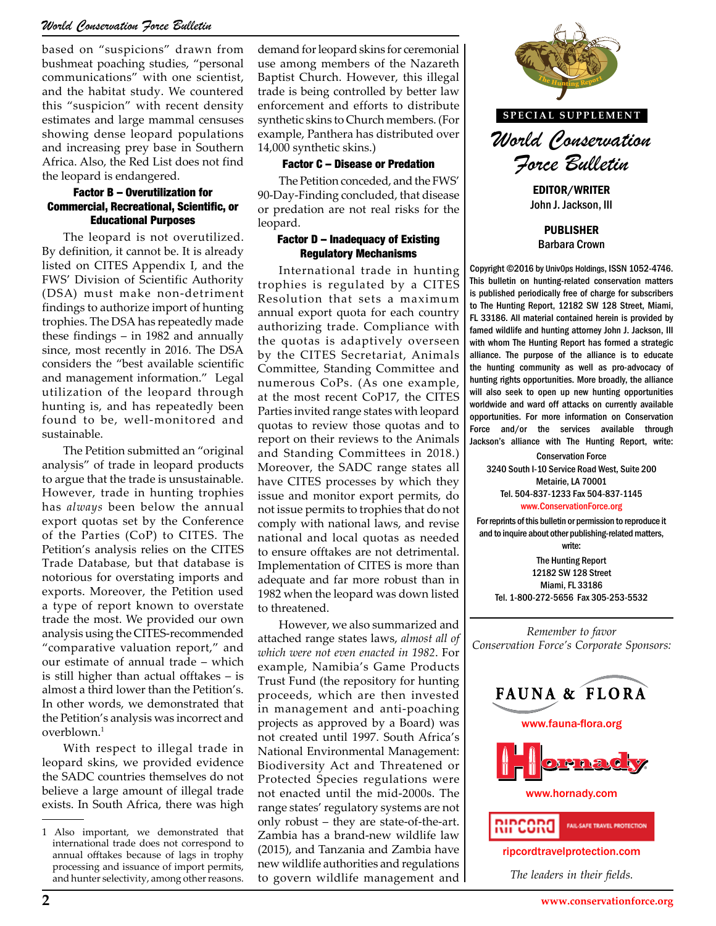# *World Conservation Force Bulletin*

based on "suspicions" drawn from bushmeat poaching studies, "personal communications" with one scientist, and the habitat study. We countered this "suspicion" with recent density estimates and large mammal censuses showing dense leopard populations and increasing prey base in Southern Africa. Also, the Red List does not find the leopard is endangered.

#### Factor B – Overutilization for Commercial, Recreational, Scientific, or Educational Purposes

The leopard is not overutilized. By definition, it cannot be. It is already listed on CITES Appendix I, and the FWS' Division of Scientific Authority (DSA) must make non-detriment findings to authorize import of hunting trophies. The DSA has repeatedly made these findings – in 1982 and annually since, most recently in 2016. The DSA considers the "best available scientific and management information." Legal utilization of the leopard through hunting is, and has repeatedly been found to be, well-monitored and sustainable.

The Petition submitted an "original analysis" of trade in leopard products to argue that the trade is unsustainable. However, trade in hunting trophies has *always* been below the annual export quotas set by the Conference of the Parties (CoP) to CITES. The Petition's analysis relies on the CITES Trade Database, but that database is notorious for overstating imports and exports. Moreover, the Petition used a type of report known to overstate trade the most. We provided our own analysis using the CITES-recommended "comparative valuation report," and our estimate of annual trade – which is still higher than actual offtakes – is almost a third lower than the Petition's. In other words, we demonstrated that the Petition's analysis was incorrect and overblown.1

With respect to illegal trade in leopard skins, we provided evidence the SADC countries themselves do not believe a large amount of illegal trade exists. In South Africa, there was high demand for leopard skins for ceremonial use among members of the Nazareth Baptist Church. However, this illegal trade is being controlled by better law enforcement and efforts to distribute synthetic skins to Church members. (For example, Panthera has distributed over 14,000 synthetic skins.)

#### Factor C – Disease or Predation

The Petition conceded, and the FWS' 90-Day-Finding concluded, that disease or predation are not real risks for the leopard.

#### Factor D – Inadequacy of Existing Regulatory Mechanisms

International trade in hunting trophies is regulated by a CITES Resolution that sets a maximum annual export quota for each country authorizing trade. Compliance with the quotas is adaptively overseen by the CITES Secretariat, Animals Committee, Standing Committee and numerous CoPs. (As one example, at the most recent CoP17, the CITES Parties invited range states with leopard quotas to review those quotas and to report on their reviews to the Animals and Standing Committees in 2018.) Moreover, the SADC range states all have CITES processes by which they issue and monitor export permits, do not issue permits to trophies that do not comply with national laws, and revise national and local quotas as needed to ensure offtakes are not detrimental. Implementation of CITES is more than adequate and far more robust than in 1982 when the leopard was down listed to threatened.

However, we also summarized and attached range states laws, *almost all of which were not even enacted in 1982*. For example, Namibia's Game Products Trust Fund (the repository for hunting proceeds, which are then invested in management and anti-poaching projects as approved by a Board) was not created until 1997. South Africa's National Environmental Management: Biodiversity Act and Threatened or Protected Species regulations were not enacted until the mid-2000s. The range states' regulatory systems are not only robust – they are state-of-the-art. Zambia has a brand-new wildlife law (2015), and Tanzania and Zambia have new wildlife authorities and regulations to govern wildlife management and



**SPECIAL SUPPLEMENT**

*World Conservation Force Bulletin*

EDITOR/WRITER John J. Jackson, III

PUBLISHER Barbara Crown

Copyright ©2016 by UnivOps Holdings, ISSN 1052-4746. This bulletin on hunting-related conservation matters is published periodically free of charge for subscribers to The Hunting Report, 12182 SW 128 Street, Miami, FL 33186. All material contained herein is provided by famed wildlife and hunting attorney John J. Jackson, III with whom The Hunting Report has formed a strategic alliance. The purpose of the alliance is to educate the hunting community as well as pro-advocacy of hunting rights opportunities. More broadly, the alliance one example, all nunting rights opportunities. More broadly, the alliance<br>P17, the CITES will also seek to open up new hunting opportunities worldwide and ward off attacks on currently available opportunities. For more information on Conservation Force and/or the services available through to the Animals **Jackson's alliance with The Hunting Report, write:**<br> **THE Hunting Report, write:**<br> **Conservation Force** 

Conservation Force 3240 South I-10 Service Road West, Suite 200 Metairie, LA 70001 Tel. 504-837-1233 Fax 504-837-1145 www.ConservationForce.org

For reprints of this bulletin or permission to reproduce it and to inquire about other publishing-related matters, write:

The Hunting Report 12182 SW 128 Street Miami, FL 33186 Tel. 1-800-272-5656 Fax 305-253-5532

*Remember to favor Conservation Force's Corporate Sponsors:*



*The leaders in their fields.*

<sup>1</sup> Also important, we demonstrated that international trade does not correspond to annual offtakes because of lags in trophy processing and issuance of import permits, and hunter selectivity, among other reasons.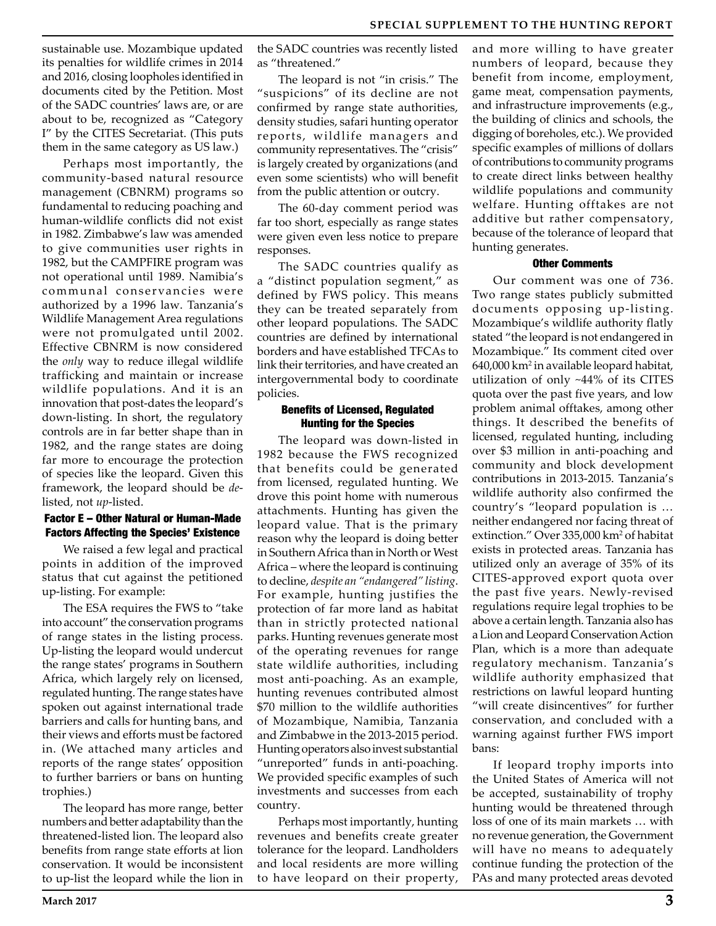sustainable use. Mozambique updated its penalties for wildlife crimes in 2014 and 2016, closing loopholes identified in documents cited by the Petition. Most of the SADC countries' laws are, or are about to be, recognized as "Category I" by the CITES Secretariat. (This puts them in the same category as US law.)

Perhaps most importantly, the community-based natural resource management (CBNRM) programs so fundamental to reducing poaching and human-wildlife conflicts did not exist in 1982. Zimbabwe's law was amended to give communities user rights in 1982, but the CAMPFIRE program was not operational until 1989. Namibia's communal conservancies were authorized by a 1996 law. Tanzania's Wildlife Management Area regulations were not promulgated until 2002. Effective CBNRM is now considered the *only* way to reduce illegal wildlife trafficking and maintain or increase wildlife populations. And it is an innovation that post-dates the leopard's down-listing. In short, the regulatory controls are in far better shape than in 1982, and the range states are doing far more to encourage the protection of species like the leopard. Given this framework, the leopard should be *de*listed, not *up*-listed.

## Factor E – Other Natural or Human-Made Factors Affecting the Species' Existence

We raised a few legal and practical points in addition of the improved status that cut against the petitioned up-listing. For example:

The ESA requires the FWS to "take into account" the conservation programs of range states in the listing process. Up-listing the leopard would undercut the range states' programs in Southern Africa, which largely rely on licensed, regulated hunting. The range states have spoken out against international trade barriers and calls for hunting bans, and their views and efforts must be factored in. (We attached many articles and reports of the range states' opposition to further barriers or bans on hunting trophies.)

The leopard has more range, better numbers and better adaptability than the threatened-listed lion. The leopard also benefits from range state efforts at lion conservation. It would be inconsistent to up-list the leopard while the lion in

the SADC countries was recently listed as "threatened."

The leopard is not "in crisis." The "suspicions" of its decline are not confirmed by range state authorities, density studies, safari hunting operator reports, wildlife managers and community representatives. The "crisis" is largely created by organizations (and even some scientists) who will benefit from the public attention or outcry.

The 60-day comment period was far too short, especially as range states were given even less notice to prepare responses.

The SADC countries qualify as a "distinct population segment," as defined by FWS policy. This means they can be treated separately from other leopard populations. The SADC countries are defined by international borders and have established TFCAs to link their territories, and have created an intergovernmental body to coordinate policies.

## Benefits of Licensed, Regulated Hunting for the Species

The leopard was down-listed in 1982 because the FWS recognized that benefits could be generated from licensed, regulated hunting. We drove this point home with numerous attachments. Hunting has given the leopard value. That is the primary reason why the leopard is doing better in Southern Africa than in North or West Africa – where the leopard is continuing to decline, *despite an "endangered" listing*. For example, hunting justifies the protection of far more land as habitat than in strictly protected national parks. Hunting revenues generate most of the operating revenues for range state wildlife authorities, including most anti-poaching. As an example, hunting revenues contributed almost \$70 million to the wildlife authorities of Mozambique, Namibia, Tanzania and Zimbabwe in the 2013-2015 period. Hunting operators also invest substantial "unreported" funds in anti-poaching. We provided specific examples of such investments and successes from each country.

Perhaps most importantly, hunting revenues and benefits create greater tolerance for the leopard. Landholders and local residents are more willing to have leopard on their property,

and more willing to have greater numbers of leopard, because they benefit from income, employment, game meat, compensation payments, and infrastructure improvements (e.g., the building of clinics and schools, the digging of boreholes, etc.). We provided specific examples of millions of dollars of contributions to community programs to create direct links between healthy wildlife populations and community welfare. Hunting offtakes are not additive but rather compensatory, because of the tolerance of leopard that hunting generates.

#### Other Comments

Our comment was one of 736. Two range states publicly submitted documents opposing up-listing. Mozambique's wildlife authority flatly stated "the leopard is not endangered in Mozambique." Its comment cited over 640,000 km2 in available leopard habitat, utilization of only ~44% of its CITES quota over the past five years, and low problem animal offtakes, among other things. It described the benefits of licensed, regulated hunting, including over \$3 million in anti-poaching and community and block development contributions in 2013-2015. Tanzania's wildlife authority also confirmed the country's "leopard population is … neither endangered nor facing threat of extinction." Over 335,000 km2 of habitat exists in protected areas. Tanzania has utilized only an average of 35% of its CITES-approved export quota over the past five years. Newly-revised regulations require legal trophies to be above a certain length. Tanzania also has a Lion and Leopard Conservation Action Plan, which is a more than adequate regulatory mechanism. Tanzania's wildlife authority emphasized that restrictions on lawful leopard hunting "will create disincentives" for further conservation, and concluded with a warning against further FWS import bans:

If leopard trophy imports into the United States of America will not be accepted, sustainability of trophy hunting would be threatened through loss of one of its main markets … with no revenue generation, the Government will have no means to adequately continue funding the protection of the PAs and many protected areas devoted